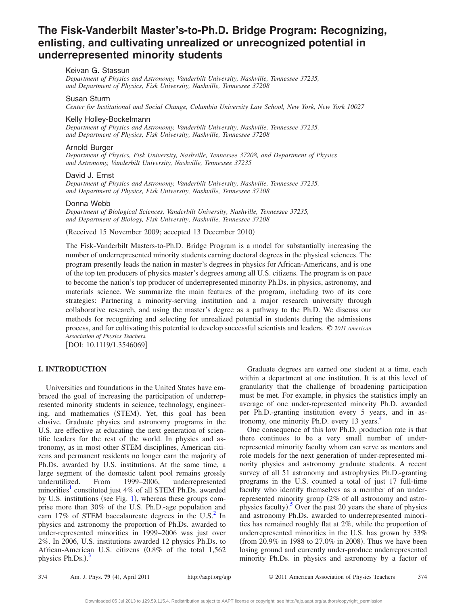# **The Fisk-Vanderbilt Master's-to-Ph.D. Bridge Program: Recognizing, enlisting, and cultivating unrealized or unrecognized potential in underrepresented minority students**

### Keivan G. Stassun

*Department of Physics and Astronomy, Vanderbilt University, Nashville, Tennessee 37235, and Department of Physics, Fisk University, Nashville, Tennessee 37208*

#### Susan Sturm

*Center for Institutional and Social Change, Columbia University Law School, New York, New York 10027*

#### Kelly Holley-Bockelmann

*Department of Physics and Astronomy, Vanderbilt University, Nashville, Tennessee 37235, and Department of Physics, Fisk University, Nashville, Tennessee 37208*

### Arnold Burger

*Department of Physics, Fisk University, Nashville, Tennessee 37208, and Department of Physics and Astronomy, Vanderbilt University, Nashville, Tennessee 37235*

#### David J. Ernst

*Department of Physics and Astronomy, Vanderbilt University, Nashville, Tennessee 37235, and Department of Physics, Fisk University, Nashville, Tennessee 37208*

### Donna Webb

*Department of Biological Sciences, Vanderbilt University, Nashville, Tennessee 37235, and Department of Biology, Fisk University, Nashville, Tennessee 37208*

(Received 15 November 2009; accepted 13 December 2010)

The Fisk-Vanderbilt Masters-to-Ph.D. Bridge Program is a model for substantially increasing the number of underrepresented minority students earning doctoral degrees in the physical sciences. The program presently leads the nation in master's degrees in physics for African-Americans, and is one of the top ten producers of physics master's degrees among all U.S. citizens. The program is on pace to become the nation's top producer of underrepresented minority Ph.Ds. in physics, astronomy, and materials science. We summarize the main features of the program, including two of its core strategies: Partnering a minority-serving institution and a major research university through collaborative research, and using the master's degree as a pathway to the Ph.D. We discuss our methods for recognizing and selecting for unrealized potential in students during the admissions process, and for cultivating this potential to develop successful scientists and leaders. © *2011 American Association of Physics Teachers.*

[DOI: 10.1119/1.3546069]

### **I. INTRODUCTION**

Universities and foundations in the United States have embraced the goal of increasing the participation of underrepresented minority students in science, technology, engineering, and mathematics (STEM). Yet, this goal has been elusive. Graduate physics and astronomy programs in the U.S. are effective at educating the next generation of scientific leaders for the rest of the world. In physics and astronomy, as in most other STEM disciplines, American citizens and permanent residents no longer earn the majority of Ph.Ds. awarded by U.S. institutions. At the same time, a large segment of the domestic talent pool remains grossly underutilized. From 1999–2006, underrepresented minorities<sup>1</sup> constituted just 4% of all STEM Ph.Ds. awarded by U.S. institutions (see Fig. [1](#page-1-0)), whereas these groups comprise more than 30% of the U.S. Ph.D.-age population and earn 17% of STEM baccalaureate degrees in the U.S. $^2$  In physics and astronomy the proportion of Ph.Ds. awarded to under-represented minorities in 1999–2006 was just over 2%. In 2006, U.S. institutions awarded 12 physics Ph.Ds. to African-American U.S. citizens (0.8% of the total 1,562 physics Ph.Ds.).<sup>[3](#page-5-2)</sup>

Graduate degrees are earned one student at a time, each within a department at one institution. It is at this level of granularity that the challenge of broadening participation must be met. For example, in physics the statistics imply an average of one under-represented minority Ph.D. awarded per Ph.D.-granting institution every 5 years, and in astronomy, one minority Ph.D. every 13 years.<sup>4</sup>

One consequence of this low Ph.D. production rate is that there continues to be a very small number of underrepresented minority faculty whom can serve as mentors and role models for the next generation of under-represented minority physics and astronomy graduate students. A recent survey of all 51 astronomy and astrophysics Ph.D.-granting programs in the U.S. counted a total of just 17 full-time faculty who identify themselves as a member of an underrepresented minority group 2% of all astronomy and astro-physics faculty).<sup>[5](#page-5-4)</sup> Over the past 20 years the share of physics and astronomy Ph.Ds. awarded to underrepresented minorities has remained roughly flat at 2%, while the proportion of underrepresented minorities in the U.S. has grown by 33% (from 20.9% in 1988 to 27.0% in 2008). Thus we have been losing ground and currently under-produce underrepresented minority Ph.Ds. in physics and astronomy by a factor of

374 Am. J. Phys. **79** (4), April 2011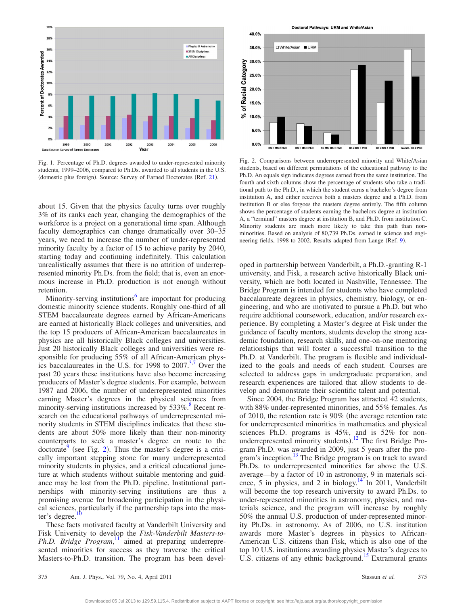<span id="page-1-0"></span>

Fig. 1. Percentage of Ph.D. degrees awarded to under-represented minority students, 1999–2006, compared to Ph.Ds. awarded to all students in the U.S. (domestic plus foreign). Source: Survey of Earned Doctorates (Ref. [21](#page-5-15)).

about 15. Given that the physics faculty turns over roughly 3% of its ranks each year, changing the demographics of the workforce is a project on a generational time span. Although faculty demographics can change dramatically over 30–35 years, we need to increase the number of under-represented minority faculty by a factor of 15 to achieve parity by 2040, starting today and continuing indefinitely. This calculation unrealistically assumes that there is no attrition of underrepresented minority Ph.Ds. from the field; that is, even an enormous increase in Ph.D. production is not enough without retention.

Minority-serving institutions $6$  are important for producing domestic minority science students. Roughly one-third of all STEM baccalaureate degrees earned by African-Americans are earned at historically Black colleges and universities, and the top 15 producers of African-American baccalaureates in physics are all historically Black colleges and universities. Just 20 historically Black colleges and universities were responsible for producing 55% of all African-American physics baccalaureates in the U.S. for 1998 to  $2007^{3/7}$  $2007^{3/7}$  $2007^{3/7}$  Over the past 20 years these institutions have also become increasing producers of Master's degree students. For example, between 1987 and 2006, the number of underrepresented minorities earning Master's degrees in the physical sciences from minority-serving institutions increased by  $533\%$ .<sup>8</sup> Recent research on the educational pathways of underrepresented minority students in STEM disciplines indicates that these students are about 50% more likely than their non-minority counterparts to seek a master's degree en route to the doctorate<sup>9</sup> (see Fig. [2](#page-1-1)). Thus the master's degree is a critically important stepping stone for many underrepresented minority students in physics, and a critical educational juncture at which students without suitable mentoring and guidance may be lost from the Ph.D. pipeline. Institutional partnerships with minority-serving institutions are thus a promising avenue for broadening participation in the physical sciences, particularly if the partnership taps into the master's degree.

These facts motivated faculty at Vanderbilt University and Fisk University to develop the *Fisk-Vanderbilt Masters-to-Ph.D. Bridge Program*, [11](#page-5-10) aimed at preparing underrepresented minorities for success as they traverse the critical Masters-to-Ph.D. transition. The program has been devel-

Doctoral Pathways: URM and White/Asian

<span id="page-1-1"></span>

Fig. 2. Comparisons between underrepresented minority and White/Asian students, based on different permutations of the educational pathway to the Ph.D. An equals sign indicates degrees earned from the same institution. The fourth and sixth columns show the percentage of students who take a traditional path to the Ph.D., in which the student earns a bachelor's degree from institution A, and either receives both a masters degree and a Ph.D. from institution B or else forgoes the masters degree entirely. The fifth column shows the percentage of students earning the bachelors degree at institution A, a "terminal" masters degree at institution B, and Ph.D. from institution C. Minority students are much more likely to take this path than nonminorities. Based on analysis of 80,739 Ph.Ds. earned in science and engi-neering fields, 1[9](#page-5-8)98 to 2002. Results adapted from Lange (Ref. 9).

oped in partnership between Vanderbilt, a Ph.D.-granting R-1 university, and Fisk, a research active historically Black university, which are both located in Nashville, Tennessee. The Bridge Program is intended for students who have completed baccalaureate degrees in physics, chemistry, biology, or engineering, and who are motivated to pursue a Ph.D. but who require additional coursework, education, and/or research experience. By completing a Master's degree at Fisk under the guidance of faculty mentors, students develop the strong academic foundation, research skills, and one-on-one mentoring relationships that will foster a successful transition to the Ph.D. at Vanderbilt. The program is flexible and individualized to the goals and needs of each student. Courses are selected to address gaps in undergraduate preparation, and research experiences are tailored that allow students to develop and demonstrate their scientific talent and potential.

Since 2004, the Bridge Program has attracted 42 students, with 88% under-represented minorities, and 55% females. As of 2010, the retention rate is  $90\%$  (the average retention rate for underrepresented minorities in mathematics and physical sciences Ph.D. programs is 45%, and is 52% for non-underrepresented minority students).<sup>[12](#page-5-11)</sup> The first Bridge Program Ph.D. was awarded in 2009, just 5 years after the program's inception. $13$  The Bridge program is on track to award Ph.Ds. to underrepresented minorities far above the U.S. average—by a factor of 10 in astronomy, 9 in materials science,  $\overline{5}$  in physics, and 2 in biology.<sup>14</sup> In 2011, Vanderbilt will become the top research university to award Ph.Ds. to under-represented minorities in astronomy, physics, and materials science, and the program will increase by roughly 50% the annual U.S. production of under-represented minority Ph.Ds. in astronomy. As of 2006, no U.S. institution awards more Master's degrees in physics to African-American U.S. citizens than Fisk, which is also one of the top 10 U.S. institutions awarding physics Master's degrees to U.S. citizens of any ethnic background.<sup>15</sup> Extramural grants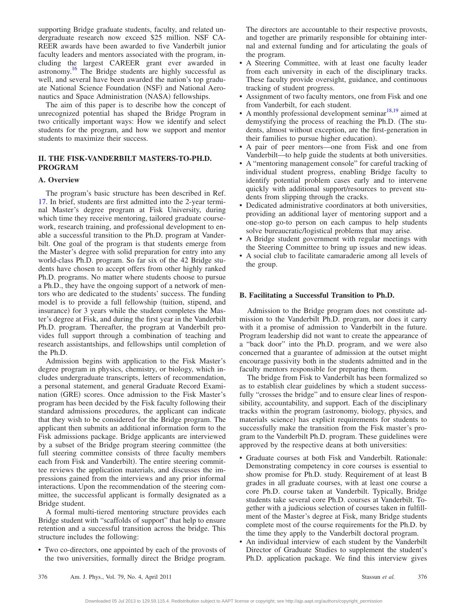supporting Bridge graduate students, faculty, and related undergraduate research now exceed \$25 million. NSF CA-REER awards have been awarded to five Vanderbilt junior faculty leaders and mentors associated with the program, including the largest CAREER grant ever awarded in astronomy[.16](#page-5-16) The Bridge students are highly successful as well, and several have been awarded the nation's top graduate National Science Foundation (NSF) and National Aeronautics and Space Administration (NASA) fellowships.

The aim of this paper is to describe how the concept of unrecognized potential has shaped the Bridge Program in two critically important ways: How we identify and select students for the program, and how we support and mentor students to maximize their success.

## **II. THE FISK-VANDERBILT MASTERS-TO-PH.D. PROGRAM**

### **A. Overview**

The program's basic structure has been described in Ref. [17.](#page-5-17) In brief, students are first admitted into the 2-year terminal Master's degree program at Fisk University, during which time they receive mentoring, tailored graduate coursework, research training, and professional development to enable a successful transition to the Ph.D. program at Vanderbilt. One goal of the program is that students emerge from the Master's degree with solid preparation for entry into any world-class Ph.D. program. So far six of the 42 Bridge students have chosen to accept offers from other highly ranked Ph.D. programs. No matter where students choose to pursue a Ph.D., they have the ongoing support of a network of mentors who are dedicated to the students' success. The funding model is to provide a full fellowship (tuition, stipend, and insurance) for 3 years while the student completes the Master's degree at Fisk, and during the first year in the Vanderbilt Ph.D. program. Thereafter, the program at Vanderbilt provides full support through a combination of teaching and research assistantships, and fellowships until completion of the Ph.D.

Admission begins with application to the Fisk Master's degree program in physics, chemistry, or biology, which includes undergraduate transcripts, letters of recommendation, a personal statement, and general Graduate Record Examination (GRE) scores. Once admission to the Fisk Master's program has been decided by the Fisk faculty following their standard admissions procedures, the applicant can indicate that they wish to be considered for the Bridge program. The applicant then submits an additional information form to the Fisk admissions package. Bridge applicants are interviewed by a subset of the Bridge program steering committee (the full steering committee consists of three faculty members each from Fisk and Vanderbilt). The entire steering committee reviews the application materials, and discusses the impressions gained from the interviews and any prior informal interactions. Upon the recommendation of the steering committee, the successful applicant is formally designated as a Bridge student.

A formal multi-tiered mentoring structure provides each Bridge student with "scaffolds of support" that help to ensure retention and a successful transition across the bridge. This structure includes the following:

• Two co-directors, one appointed by each of the provosts of the two universities, formally direct the Bridge program.

The directors are accountable to their respective provosts, and together are primarily responsible for obtaining internal and external funding and for articulating the goals of the program.

- A Steering Committee, with at least one faculty leader from each university in each of the disciplinary tracks. These faculty provide oversight, guidance, and continuous tracking of student progress.
- Assignment of two faculty mentors, one from Fisk and one from Vanderbilt, for each student.
- A monthly professional development seminar $18,19$  $18,19$  aimed at demystifying the process of reaching the Ph.D. The students, almost without exception, are the first-generation in their families to pursue higher education).
- A pair of peer mentors—one from Fisk and one from Vanderbilt—to help guide the students at both universities.
- A "mentoring management console" for careful tracking of individual student progress, enabling Bridge faculty to identify potential problem cases early and to intervene quickly with additional support/resources to prevent students from slipping through the cracks.
- Dedicated administrative coordinators at both universities, providing an additional layer of mentoring support and a one-stop go-to person on each campus to help students solve bureaucratic/logistical problems that may arise.
- A Bridge student government with regular meetings with the Steering Committee to bring up issues and new ideas.
- A social club to facilitate camaraderie among all levels of the group.

#### **B. Facilitating a Successful Transition to Ph.D.**

Admission to the Bridge program does not constitute admission to the Vanderbilt Ph.D. program, nor does it carry with it a promise of admission to Vanderbilt in the future. Program leadership did not want to create the appearance of a "back door" into the Ph.D. program, and we were also concerned that a guarantee of admission at the outset might encourage passivity both in the students admitted and in the faculty mentors responsible for preparing them.

The bridge from Fisk to Vanderbilt has been formalized so as to establish clear guidelines by which a student successfully "crosses the bridge" and to ensure clear lines of responsibility, accountability, and support. Each of the disciplinary tracks within the program (astronomy, biology, physics, and materials science) has explicit requirements for students to successfully make the transition from the Fisk master's program to the Vanderbilt Ph.D. program. These guidelines were approved by the respective deans at both universities:

- Graduate courses at both Fisk and Vanderbilt. Rationale: Demonstrating competency in core courses is essential to show promise for Ph.D. study. Requirement of at least B grades in all graduate courses, with at least one course a core Ph.D. course taken at Vanderbilt. Typically, Bridge students take several core Ph.D. courses at Vanderbilt. Together with a judicious selection of courses taken in fulfillment of the Master's degree at Fisk, many Bridge students complete most of the course requirements for the Ph.D. by the time they apply to the Vanderbilt doctoral program.
- An individual interview of each student by the Vanderbilt Director of Graduate Studies to supplement the student's Ph.D. application package. We find this interview gives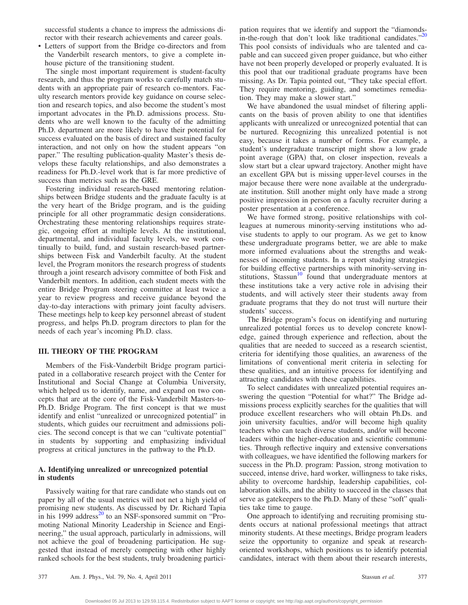successful students a chance to impress the admissions director with their research achievements and career goals.

• Letters of support from the Bridge co-directors and from the Vanderbilt research mentors, to give a complete inhouse picture of the transitioning student.

The single most important requirement is student-faculty research, and thus the program works to carefully match students with an appropriate pair of research co-mentors. Faculty research mentors provide key guidance on course selection and research topics, and also become the student's most important advocates in the Ph.D. admissions process. Students who are well known to the faculty of the admitting Ph.D. department are more likely to have their potential for success evaluated on the basis of direct and sustained faculty interaction, and not only on how the student appears "on paper." The resulting publication-quality Master's thesis develops these faculty relationships, and also demonstrates a readiness for Ph.D.-level work that is far more predictive of success than metrics such as the GRE.

Fostering individual research-based mentoring relationships between Bridge students and the graduate faculty is at the very heart of the Bridge program, and is the guiding principle for all other programmatic design considerations. Orchestrating these mentoring relationships requires strategic, ongoing effort at multiple levels. At the institutional, departmental, and individual faculty levels, we work continually to build, fund, and sustain research-based partnerships between Fisk and Vanderbilt faculty. At the student level, the Program monitors the research progress of students through a joint research advisory committee of both Fisk and Vanderbilt mentors. In addition, each student meets with the entire Bridge Program steering committee at least twice a year to review progress and receive guidance beyond the day-to-day interactions with primary joint faculty advisers. These meetings help to keep key personnel abreast of student progress, and helps Ph.D. program directors to plan for the needs of each year's incoming Ph.D. class.

#### **III. THEORY OF THE PROGRAM**

Members of the Fisk-Vanderbilt Bridge program participated in a collaborative research project with the Center for Institutional and Social Change at Columbia University, which helped us to identify, name, and expand on two concepts that are at the core of the Fisk-Vanderbilt Masters-to-Ph.D. Bridge Program. The first concept is that we must identify and enlist "unrealized or unrecognized potential" in students, which guides our recruitment and admissions policies. The second concept is that we can "cultivate potential" in students by supporting and emphasizing individual progress at critical junctures in the pathway to the Ph.D.

### **A. Identifying unrealized or unrecognized potential in students**

Passively waiting for that rare candidate who stands out on paper by all of the usual metrics will not net a high yield of promising new students. As discussed by Dr. Richard Tapia in his 1999 address<sup>20</sup> to an NSF-sponsored summit on "Promoting National Minority Leadership in Science and Engineering," the usual approach, particularly in admissions, will not achieve the goal of broadening participation. He suggested that instead of merely competing with other highly ranked schools for the best students, truly broadening participation requires that we identify and support the "diamondsin-the-rough that don't look like traditional candidates." $20$ This pool consists of individuals who are talented and capable and can succeed given proper guidance, but who either have not been properly developed or properly evaluated. It is this pool that our traditional graduate programs have been missing. As Dr. Tapia pointed out, "They take special effort. They require mentoring, guiding, and sometimes remediation. They may make a slower start."

We have abandoned the usual mindset of filtering applicants on the basis of proven ability to one that identifies applicants with unrealized or unrecognized potential that can be nurtured. Recognizing this unrealized potential is not easy, because it takes a number of forms. For example, a student's undergraduate transcript might show a low grade point average (GPA) that, on closer inspection, reveals a slow start but a clear upward trajectory. Another might have an excellent GPA but is missing upper-level courses in the major because there were none available at the undergraduate institution. Still another might only have made a strong positive impression in person on a faculty recruiter during a poster presentation at a conference.

We have formed strong, positive relationships with colleagues at numerous minority-serving institutions who advise students to apply to our program. As we get to know these undergraduate programs better, we are able to make more informed evaluations about the strengths and weaknesses of incoming students. In a report studying strategies for building effective partnerships with minority-serving institutions, Stassun<sup>10</sup> found that undergraduate mentors at these institutions take a very active role in advising their students, and will actively steer their students away from graduate programs that they do not trust will nurture their students' success.

The Bridge program's focus on identifying and nurturing unrealized potential forces us to develop concrete knowledge, gained through experience and reflection, about the qualities that are needed to succeed as a research scientist, criteria for identifying those qualities, an awareness of the limitations of conventional merit criteria in selecting for these qualities, and an intuitive process for identifying and attracting candidates with these capabilities.

To select candidates with unrealized potential requires answering the question "Potential for what?" The Bridge admissions process explicitly searches for the qualities that will produce excellent researchers who will obtain Ph.Ds. and join university faculties, and/or will become high quality teachers who can teach diverse students, and/or will become leaders within the higher-education and scientific communities. Through reflective inquiry and extensive conversations with colleagues, we have identified the following markers for success in the Ph.D. program: Passion, strong motivation to succeed, intense drive, hard worker, willingness to take risks, ability to overcome hardship, leadership capabilities, collaboration skills, and the ability to succeed in the classes that serve as gatekeepers to the Ph.D. Many of these "soft" qualities take time to gauge.

One approach to identifying and recruiting promising students occurs at national professional meetings that attract minority students. At these meetings, Bridge program leaders seize the opportunity to organize and speak at researchoriented workshops, which positions us to identify potential candidates, interact with them about their research interests,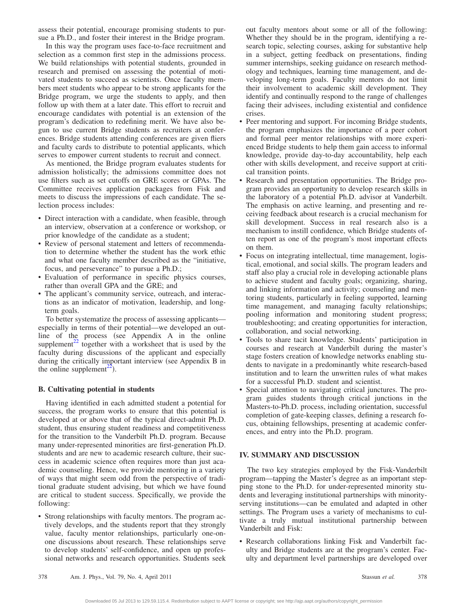assess their potential, encourage promising students to pursue a Ph.D., and foster their interest in the Bridge program.

In this way the program uses face-to-face recruitment and selection as a common first step in the admissions process. We build relationships with potential students, grounded in research and premised on assessing the potential of motivated students to succeed as scientists. Once faculty members meet students who appear to be strong applicants for the Bridge program, we urge the students to apply, and then follow up with them at a later date. This effort to recruit and encourage candidates with potential is an extension of the program's dedication to redefining merit. We have also begun to use current Bridge students as recruiters at conferences. Bridge students attending conferences are given fliers and faculty cards to distribute to potential applicants, which serves to empower current students to recruit and connect.

As mentioned, the Bridge program evaluates students for admission holistically; the admissions committee does not use filters such as set cutoffs on GRE scores or GPAs. The Committee receives application packages from Fisk and meets to discuss the impressions of each candidate. The selection process includes:

- Direct interaction with a candidate, when feasible, through an interview, observation at a conference or workshop, or prior knowledge of the candidate as a student;
- Review of personal statement and letters of recommendation to determine whether the student has the work ethic and what one faculty member described as the "initiative, focus, and perseverance" to pursue a Ph.D.;
- Evaluation of performance in specific physics courses, rather than overall GPA and the GRE; and
- The applicant's community service, outreach, and interactions as an indicator of motivation, leadership, and longterm goals.

To better systematize the process of assessing applicants especially in terms of their potential—we developed an outline of the process (see Appendix A in the online supplement<sup> $22$ </sup> together with a worksheet that is used by the faculty during discussions of the applicant and especially during the critically important interview (see Appendix B in the online supplement<sup>22</sup>).

#### **B. Cultivating potential in students**

Having identified in each admitted student a potential for success, the program works to ensure that this potential is developed at or above that of the typical direct-admit Ph.D. student, thus ensuring student readiness and competitiveness for the transition to the Vanderbilt Ph.D. program. Because many under-represented minorities are first-generation Ph.D. students and are new to academic research culture, their success in academic science often requires more than just academic counseling. Hence, we provide mentoring in a variety of ways that might seem odd from the perspective of traditional graduate student advising, but which we have found are critical to student success. Specifically, we provide the following:

• Strong relationships with faculty mentors. The program actively develops, and the students report that they strongly value, faculty mentor relationships, particularly one-onone discussions about research. These relationships serve to develop students' self-confidence, and open up professional networks and research opportunities. Students seek out faculty mentors about some or all of the following: Whether they should be in the program, identifying a research topic, selecting courses, asking for substantive help in a subject, getting feedback on presentations, finding summer internships, seeking guidance on research methodology and techniques, learning time management, and developing long-term goals. Faculty mentors do not limit their involvement to academic skill development. They identify and continually respond to the range of challenges facing their advisees, including existential and confidence crises.

- Peer mentoring and support. For incoming Bridge students, the program emphasizes the importance of a peer cohort and formal peer mentor relationships with more experienced Bridge students to help them gain access to informal knowledge, provide day-to-day accountability, help each other with skills development, and receive support at critical transition points.
- Research and presentation opportunities. The Bridge program provides an opportunity to develop research skills in the laboratory of a potential Ph.D. advisor at Vanderbilt. The emphasis on active learning, and presenting and receiving feedback about research is a crucial mechanism for skill development. Success in real research also is a mechanism to instill confidence, which Bridge students often report as one of the program's most important effects on them.
- Focus on integrating intellectual, time management, logistical, emotional, and social skills. The program leaders and staff also play a crucial role in developing actionable plans to achieve student and faculty goals; organizing, sharing, and linking information and activity; counseling and mentoring students, particularly in feeling supported, learning time management, and managing faculty relationships; pooling information and monitoring student progress; troubleshooting; and creating opportunities for interaction, collaboration, and social networking.
- Tools to share tacit knowledge. Students' participation in courses and research at Vanderbilt during the master's stage fosters creation of knowledge networks enabling students to navigate in a predominantly white research-based institution and to learn the unwritten rules of what makes for a successful Ph.D. student and scientist.
- Special attention to navigating critical junctures. The program guides students through critical junctions in the Masters-to-Ph.D. process, including orientation, successful completion of gate-keeping classes, defining a research focus, obtaining fellowships, presenting at academic conferences, and entry into the Ph.D. program.

#### **IV. SUMMARY AND DISCUSSION**

The two key strategies employed by the Fisk-Vanderbilt program—tapping the Master's degree as an important stepping stone to the Ph.D. for under-represented minority students and leveraging institutional partnerships with minorityserving institutions—can be emulated and adapted in other settings. The Program uses a variety of mechanisms to cultivate a truly mutual institutional partnership between Vanderbilt and Fisk:

• Research collaborations linking Fisk and Vanderbilt faculty and Bridge students are at the program's center. Faculty and department level partnerships are developed over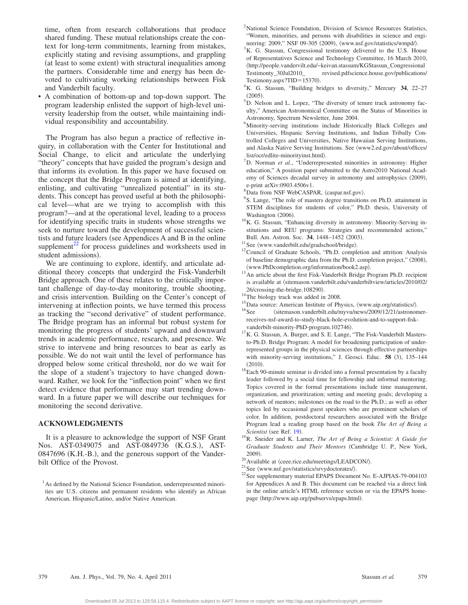time, often from research collaborations that produce shared funding. These mutual relationships create the context for long-term commitments, learning from mistakes, explicitly stating and revising assumptions, and grappling (at least to some extent) with structural inequalities among the partners. Considerable time and energy has been devoted to cultivating working relationships between Fisk and Vanderbilt faculty.

• A combination of bottom-up and top-down support. The program leadership enlisted the support of high-level university leadership from the outset, while maintaining individual responsibility and accountability.

The Program has also begun a practice of reflective inquiry, in collaboration with the Center for Institutional and Social Change, to elicit and articulate the underlying "theory" concepts that have guided the program's design and that informs its evolution. In this paper we have focused on the concept that the Bridge Program is aimed at identifying, enlisting, and cultivating "unrealized potential" in its students. This concept has proved useful at both the philosophical level—what are we trying to accomplish with this program?—and at the operational level, leading to a process for identifying specific traits in students whose strengths we seek to nurture toward the development of successful scientists and future leaders (see Appendices A and B in the online supplement $^{22}$  for process guidelines and worksheets used in student admissions).

We are continuing to explore, identify, and articulate additional theory concepts that undergird the Fisk-Vanderbilt Bridge approach. One of these relates to the critically important challenge of day-to-day monitoring, trouble shooting, and crisis intervention. Building on the Center's concept of intervening at inflection points, we have termed this process as tracking the "second derivative" of student performance. The Bridge program has an informal but robust system for monitoring the progress of students' upward and downward trends in academic performance, research, and presence. We strive to intervene and bring resources to bear as early as possible. We do not wait until the level of performance has dropped below some critical threshold, nor do we wait for the slope of a student's trajectory to have changed downward. Rather, we look for the "inflection point" when we first detect evidence that performance may start trending downward. In a future paper we will describe our techniques for monitoring the second derivative.

#### **ACKNOWLEDGMENTS**

It is a pleasure to acknowledge the support of NSF Grant Nos. AST-0349075 and AST-0849736 (K.G.S.), AST-0847696 (K.H.-B.), and the generous support of the Vanderbilt Office of the Provost.

- <span id="page-5-1"></span><sup>2</sup>National Science Foundation, Division of Science Resources Statistics, "Women, minorities, and persons with disabilities in science and engi-
- <span id="page-5-2"></span>neering: 2009," NSF 09-305 (2009),  $\langle$ www.nsf.gov/statistics/wmpd/ $\rangle$ .<br><sup>3</sup>K G. Stassup, Congressional testimony delivered to the U.S. Ho  $K<sup>3</sup>K$ . G. Stassun, Congressional testimony delivered to the U.S. House of Representatives Science and Technology Committee, 16 March 2010, http://people.vandervilt.edu/~keivan.stassum/KGStassun\_Congressional Testimonty 30Jul2010 revised.pdfscience.house.gov/publications/ Testimony.aspx?TID= $15370$ .
- <span id="page-5-3"></span>K. G. Stassun, "Building bridges to diversity," Mercury **34**, 22–27  $(2005)$
- <span id="page-5-4"></span> $(2005)$ .<br><sup>5</sup>D. Nelson and L. Lopez, "The diversity of tenure track astronomy faculty," American Astronomical Committee on the Status of Minorities in Astronomy, Spectrum Newsletter, June 2004.
- <span id="page-5-5"></span><sup>6</sup>Minority-serving institutions include Historically Black Colleges and Universities, Hispanic Serving Institutions, and Indian Tribally Controlled Colleges and Universities, Native Hawaiian Serving Institutions, and Alaska Native Serving Institutions. See (www2.ed.gov/about/offices/ list/ocr/edlite-minorityinst.html).
- <span id="page-5-6"></span><sup>7</sup>D. Norman *et al.*, "Underrepresented minorities in astronomy: Higher education," A position paper submitted to the Astro2010 National Academy of Sciences decadal survey in astronomy and astrophysics (2009), e-print arXiv:0903.4506v1.
- <span id="page-5-7"></span> ${}^{8}$ Data from NSF WebCASPAR,  $\langle$ caspar.nsf.gov $\rangle$ .<br> ${}^{9}$ S. Lange. "The role of meeters degree transition
- <span id="page-5-8"></span><sup>9</sup>S. Lange, "The role of masters degree transitions on Ph.D. attainment in STEM disciplines for students of color," Ph.D. thesis, University of Washington (2006).
- <span id="page-5-9"></span><sup>10</sup>K. G. Stassun, "Enhancing diversity in astronomy: Minority-Serving institutions and REU programs: Strategies and recommended actions,"
- <span id="page-5-10"></span>Bull. Am. Astron. Soc. **34**, 1448–1452 (2003).<br><sup>11</sup> See (www.vanderbilt.edu/gradschool/bridge).
- <span id="page-5-11"></span> $12$ Council of Graduate Schools, "Ph.D. completion and attrition: Analysis of baseline demographic data from the Ph.D. completion project," (2008),
- <span id="page-5-12"></span> $\frac{\langle \text{www.PhD completion.org/information/book2.asp} \rangle}{\langle \text{An article about the first Fisk-Vanderbit Bridge Program Ph.D. recipient}}$ is available at  $\langle$ sitemason.vanderbilt.edu/vanderbiltview/articles/2010/02/
- 
- <span id="page-5-16"></span><span id="page-5-14"></span>
- <span id="page-5-13"></span>26/crossing-the-bridge.108290).<br><sup>14</sup>The biology track was added in 2008.<br><sup>15</sup>Data source: American Institute of Physics,  $\langle$ www.aip.org/statistics/ $\rangle$ .<br><sup>16</sup>See  $\langle$ sitemason.vanderbilt.edu/myvu/news/2009/12/21/astronome receives-nsf-award-to-study-black-hole-evolution-and-to-support-fisk-
- <span id="page-5-17"></span>vanderbilt-minority-PhD-program.102746).<br> $^{17}$ K. G. Stassun, A. Burger, and S. E. Lange, "The Fisk-Vanderbilt Mastersto-Ph.D. Bridge Program: A model for broadening participation of underrepresented groups in the physical sciences through effective partnerships with minority-serving institutions," J. Geosci. Educ. 58 (3), 135-144  $(2010).$
- <span id="page-5-18"></span> $18$  Each 90-minute seminar is divided into a formal presentation by a faculty leader followed by a social time for fellowship and informal mentoring. Topics covered in the formal presentations include time management, organization, and prioritization; setting and meeting goals; developing a network of mentors; milestones on the road to the Ph.D.; as well as other topics led by occasional guest speakers who are prominent scholars of color. In addition, postdoctoral researchers associated with the Bridge Program lead a reading group based on the book *The Art of Being a Scientist* (see Ref. [19](#page-5-19)).
- <span id="page-5-19"></span>. 19R. Sneider and K. Larner, *The Art of Being a Scientist: A Guide for Graduate Students and Their Mentors* Cambridge U. P., New York, 2009).<br><sup>20</sup> Available at  $\langle$ ceee.rice.edu/meetings/LEADCON/ $\rangle$ .
- <span id="page-5-20"></span>
- <span id="page-5-21"></span>
- <span id="page-5-15"></span><sup>21</sup>See  $\langle$ www.nsf.gov/statistics/srvydoctorates/ $\rangle$ .<br><sup>22</sup>See supplementary material EPAPS Document No. E-AJPIAS-79-004103 for Appendices A and B. This document can be reached via a direct link in the online article's HTML reference section or via the EPAPS homepage (http://www.aip.org/pubservs/epaps.html).

<span id="page-5-0"></span><sup>&</sup>lt;sup>1</sup> As defined by the National Science Foundation, underrepresented minorities are U.S. citizens and permanent residents who identify as African American, Hispanic/Latino, and/or Native American.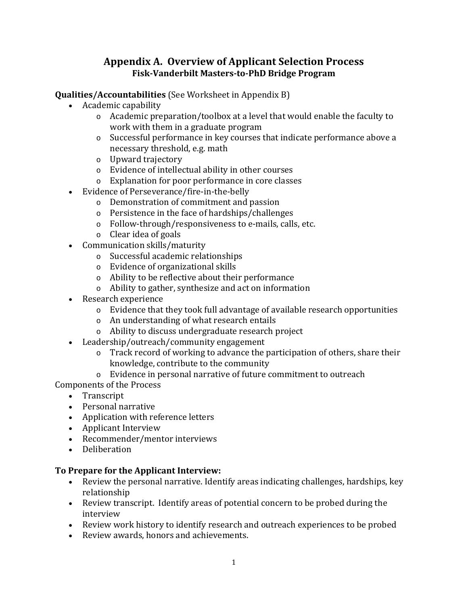# **Appendix A. Overview of Applicant Selection Process Fisk-Vanderbilt Masters-to-PhD Bridge Program**

## **Qualities/Accountabilities** (See Worksheet in Appendix B)

- Academic capability
	- o Academic preparation/toolbox at a level that would enable the faculty to work with them in a graduate program
	- o Successful performance in key courses that indicate performance above a necessary threshold, e.g. math
	- o Upward trajectory
	- o Evidence of intellectual ability in other courses
	- o Explanation for poor performance in core classes
- Evidence of Perseverance/fire-in-the-belly
	- o Demonstration of commitment and passion
	- o Persistence in the face of hardships/challenges
	- o Follow-through/responsiveness to e-mails, calls, etc.
	- o Clear idea of goals
- Communication skills/maturity
	- o Successful academic relationships
	- o Evidence of organizational skills
	- o Ability to be reflective about their performance
	- o Ability to gather, synthesize and act on information
- Research experience
	- o Evidence that they took full advantage of available research opportunities
	- o An understanding of what research entails
	- o Ability to discuss undergraduate research project
- Leadership/outreach/community engagement
	- o Track record of working to advance the participation of others, share their knowledge, contribute to the community
	- o Evidence in personal narrative of future commitment to outreach

Components of the Process

- Transcript
- Personal narrative
- Application with reference letters
- Applicant Interview
- Recommender/mentor interviews
- Deliberation

## **To Prepare for the Applicant Interview:**

- Review the personal narrative. Identify areas indicating challenges, hardships, key relationship
- Review transcript. Identify areas of potential concern to be probed during the interview
- Review work history to identify research and outreach experiences to be probed
- Review awards, honors and achievements.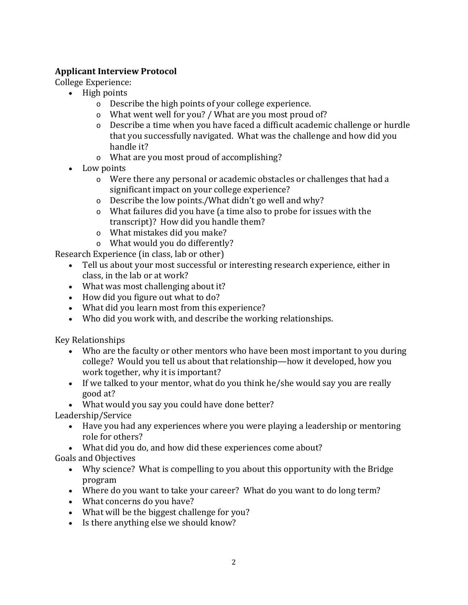# **Applicant Interview Protocol**

College Experience:

- High points
	- o Describe the high points of your college experience.
	- o What went well for you? / What are you most proud of?
	- o Describe a time when you have faced a difficult academic challenge or hurdle that you successfully navigated. What was the challenge and how did you handle it?
	- o What are you most proud of accomplishing?
- Low points
	- o Were there any personal or academic obstacles or challenges that had a significant impact on your college experience?
	- o Describe the low points./What didn't go well and why?
	- o What failures did you have (a time also to probe for issues with the transcript)? How did you handle them?
	- o What mistakes did you make?
	- o What would you do differently?

Research Experience (in class, lab or other)

- Tell us about your most successful or interesting research experience, either in class, in the lab or at work?
- What was most challenging about it?
- How did you figure out what to do?
- What did you learn most from this experience?
- Who did you work with, and describe the working relationships.

Key Relationships

- Who are the faculty or other mentors who have been most important to you during college? Would you tell us about that relationship—how it developed, how you work together, why it is important?
- If we talked to your mentor, what do you think he/she would say you are really good at?
- What would you say you could have done better?

Leadership/Service

- Have you had any experiences where you were playing a leadership or mentoring role for others?
- What did you do, and how did these experiences come about?

Goals and Objectives

- Why science? What is compelling to you about this opportunity with the Bridge program
- Where do you want to take your career? What do you want to do long term?
- What concerns do you have?
- What will be the biggest challenge for you?
- Is there anything else we should know?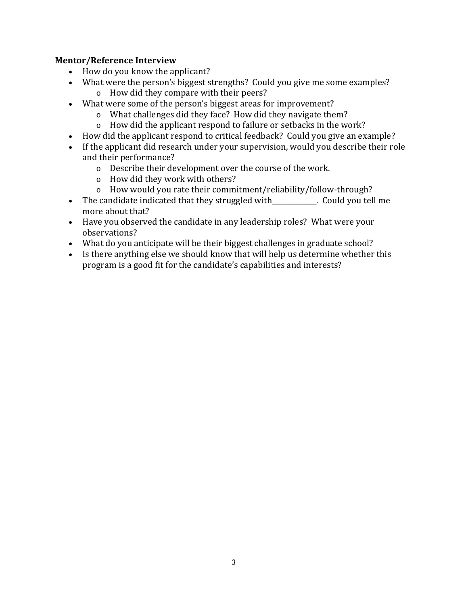## **Mentor/Reference Interview**

- How do you know the applicant?
- What were the person's biggest strengths? Could you give me some examples?
	- o How did they compare with their peers?
- What were some of the person's biggest areas for improvement?
	- o What challenges did they face? How did they navigate them?
	- o How did the applicant respond to failure or setbacks in the work?
- How did the applicant respond to critical feedback? Could you give an example?
- If the applicant did research under your supervision, would you describe their role and their performance?
	- o Describe their development over the course of the work.
	- o How did they work with others?
	- o How would you rate their commitment/reliability/follow-through?
- The candidate indicated that they struggled with\_\_\_\_\_\_\_\_\_\_. Could you tell me more about that?
- Have you observed the candidate in any leadership roles? What were your observations?
- What do you anticipate will be their biggest challenges in graduate school?
- Is there anything else we should know that will help us determine whether this program is a good fit for the candidate's capabilities and interests?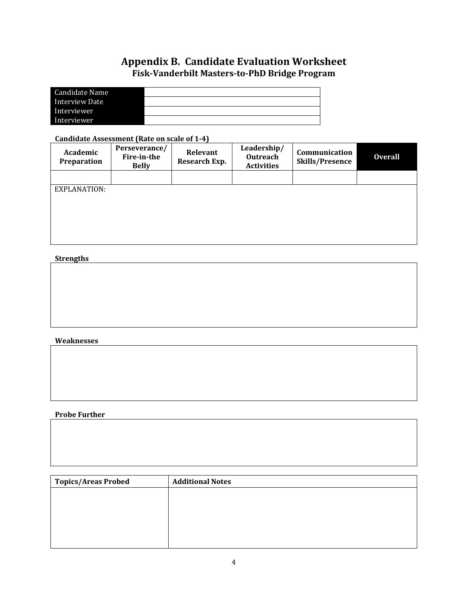# **Appendix B. Candidate Evaluation Worksheet Fisk-Vanderbilt Masters-to-PhD Bridge Program**

| Candidate Name |  |
|----------------|--|
| Interview Date |  |
| Interviewer    |  |
| Interviewer    |  |

## **Candidate Assessment (Rate on scale of 1-4)**

| Academic<br>Preparation | Perseverance/<br>Fire-in-the<br><b>Belly</b> | Relevant<br>Research Exp. | Leadership/<br>Outreach<br><b>Activities</b> | Communication<br><b>Skills/Presence</b> | <b>Overall</b> |
|-------------------------|----------------------------------------------|---------------------------|----------------------------------------------|-----------------------------------------|----------------|
|                         |                                              |                           |                                              |                                         |                |
| EXPLANATION:            |                                              |                           |                                              |                                         |                |
|                         |                                              |                           |                                              |                                         |                |
|                         |                                              |                           |                                              |                                         |                |
|                         |                                              |                           |                                              |                                         |                |
|                         |                                              |                           |                                              |                                         |                |

## **Strengths**

## **Weaknesses**

## **Probe Further**

| Topics/Areas Probed | <b>Additional Notes</b> |
|---------------------|-------------------------|
|                     |                         |
|                     |                         |
|                     |                         |
|                     |                         |
|                     |                         |